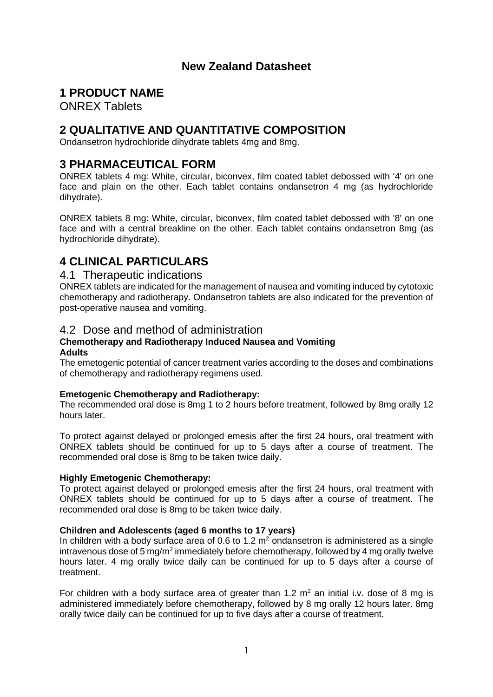## **New Zealand Datasheet**

### **1 PRODUCT NAME**

ONREX Tablets

## **2 QUALITATIVE AND QUANTITATIVE COMPOSITION**

Ondansetron hydrochloride dihydrate tablets 4mg and 8mg.

## **3 PHARMACEUTICAL FORM**

ONREX tablets 4 mg: White, circular, biconvex, film coated tablet debossed with '4' on one face and plain on the other. Each tablet contains ondansetron 4 mg (as hydrochloride dihydrate).

ONREX tablets 8 mg: White, circular, biconvex, film coated tablet debossed with '8' on one face and with a central breakline on the other. Each tablet contains ondansetron 8mg (as hydrochloride dihydrate).

## **4 CLINICAL PARTICULARS**

### 4.1 Therapeutic indications

ONREX tablets are indicated for the management of nausea and vomiting induced by cytotoxic chemotherapy and radiotherapy. Ondansetron tablets are also indicated for the prevention of post-operative nausea and vomiting.

### 4.2 Dose and method of administration

#### **Chemotherapy and Radiotherapy Induced Nausea and Vomiting Adults**

The emetogenic potential of cancer treatment varies according to the doses and combinations of chemotherapy and radiotherapy regimens used.

### **Emetogenic Chemotherapy and Radiotherapy:**

The recommended oral dose is 8mg 1 to 2 hours before treatment, followed by 8mg orally 12 hours later.

To protect against delayed or prolonged emesis after the first 24 hours, oral treatment with ONREX tablets should be continued for up to 5 days after a course of treatment. The recommended oral dose is 8mg to be taken twice daily.

### **Highly Emetogenic Chemotherapy:**

To protect against delayed or prolonged emesis after the first 24 hours, oral treatment with ONREX tablets should be continued for up to 5 days after a course of treatment. The recommended oral dose is 8mg to be taken twice daily.

### **Children and Adolescents (aged 6 months to 17 years)**

In children with a body surface area of 0.6 to 1.2  $m<sup>2</sup>$  ondansetron is administered as a single intravenous dose of 5 mg/m<sup>2</sup> immediately before chemotherapy, followed by 4 mg orally twelve hours later. 4 mg orally twice daily can be continued for up to 5 days after a course of treatment.

For children with a body surface area of greater than 1.2  $m<sup>2</sup>$  an initial i.v. dose of 8 mg is administered immediately before chemotherapy, followed by 8 mg orally 12 hours later. 8mg orally twice daily can be continued for up to five days after a course of treatment.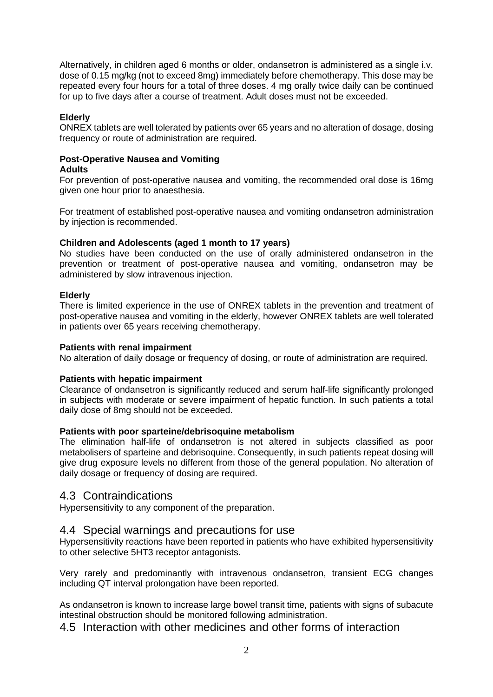Alternatively, in children aged 6 months or older, ondansetron is administered as a single i.v. dose of 0.15 mg/kg (not to exceed 8mg) immediately before chemotherapy. This dose may be repeated every four hours for a total of three doses. 4 mg orally twice daily can be continued for up to five days after a course of treatment. Adult doses must not be exceeded.

### **Elderly**

ONREX tablets are well tolerated by patients over 65 years and no alteration of dosage, dosing frequency or route of administration are required.

#### **Post-Operative Nausea and Vomiting Adults**

For prevention of post-operative nausea and vomiting, the recommended oral dose is 16mg given one hour prior to anaesthesia.

For treatment of established post-operative nausea and vomiting ondansetron administration by injection is recommended.

### **Children and Adolescents (aged 1 month to 17 years)**

No studies have been conducted on the use of orally administered ondansetron in the prevention or treatment of post-operative nausea and vomiting, ondansetron may be administered by slow intravenous injection.

### **Elderly**

There is limited experience in the use of ONREX tablets in the prevention and treatment of post-operative nausea and vomiting in the elderly, however ONREX tablets are well tolerated in patients over 65 years receiving chemotherapy.

### **Patients with renal impairment**

No alteration of daily dosage or frequency of dosing, or route of administration are required.

#### **Patients with hepatic impairment**

Clearance of ondansetron is significantly reduced and serum half-life significantly prolonged in subjects with moderate or severe impairment of hepatic function. In such patients a total daily dose of 8mg should not be exceeded.

#### **Patients with poor sparteine/debrisoquine metabolism**

The elimination half-life of ondansetron is not altered in subjects classified as poor metabolisers of sparteine and debrisoquine. Consequently, in such patients repeat dosing will give drug exposure levels no different from those of the general population. No alteration of daily dosage or frequency of dosing are required.

### 4.3 Contraindications

Hypersensitivity to any component of the preparation.

### 4.4 Special warnings and precautions for use

Hypersensitivity reactions have been reported in patients who have exhibited hypersensitivity to other selective 5HT3 receptor antagonists.

Very rarely and predominantly with intravenous ondansetron, transient ECG changes including QT interval prolongation have been reported.

As ondansetron is known to increase large bowel transit time, patients with signs of subacute intestinal obstruction should be monitored following administration.

4.5 Interaction with other medicines and other forms of interaction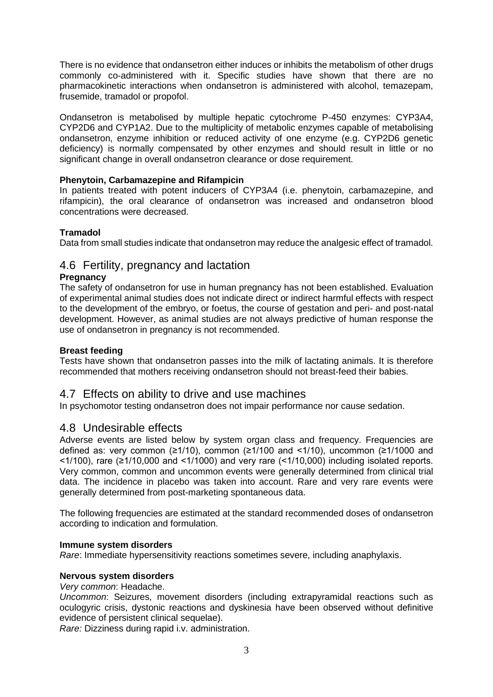There is no evidence that ondansetron either induces or inhibits the metabolism of other drugs commonly co-administered with it. Specific studies have shown that there are no pharmacokinetic interactions when ondansetron is administered with alcohol, temazepam, frusemide, tramadol or propofol.

Ondansetron is metabolised by multiple hepatic cytochrome P-450 enzymes: CYP3A4, CYP2D6 and CYP1A2. Due to the multiplicity of metabolic enzymes capable of metabolising ondansetron, enzyme inhibition or reduced activity of one enzyme (e.g. CYP2D6 genetic deficiency) is normally compensated by other enzymes and should result in little or no significant change in overall ondansetron clearance or dose requirement.

### **Phenytoin, Carbamazepine and Rifampicin**

In patients treated with potent inducers of CYP3A4 (i.e. phenytoin, carbamazepine, and rifampicin), the oral clearance of ondansetron was increased and ondansetron blood concentrations were decreased.

### **Tramadol**

Data from small studies indicate that ondansetron may reduce the analgesic effect of tramadol.

### 4.6 Fertility, pregnancy and lactation

### **Pregnancy**

The safety of ondansetron for use in human pregnancy has not been established. Evaluation of experimental animal studies does not indicate direct or indirect harmful effects with respect to the development of the embryo, or foetus, the course of gestation and peri- and post-natal development. However, as animal studies are not always predictive of human response the use of ondansetron in pregnancy is not recommended.

### **Breast feeding**

Tests have shown that ondansetron passes into the milk of lactating animals. It is therefore recommended that mothers receiving ondansetron should not breast-feed their babies.

### 4.7 Effects on ability to drive and use machines

In psychomotor testing ondansetron does not impair performance nor cause sedation.

### 4.8 Undesirable effects

Adverse events are listed below by system organ class and frequency. Frequencies are defined as: very common ( $\geq 1/10$ ), common ( $\geq 1/100$  and <1/10), uncommon ( $\geq 1/1000$  and  $\leq$ 1/100), rare ( $\geq$ 1/10,000 and  $\leq$ 1/1000) and very rare ( $\leq$ 1/10,000) including isolated reports. Very common, common and uncommon events were generally determined from clinical trial data. The incidence in placebo was taken into account. Rare and very rare events were generally determined from post-marketing spontaneous data.

The following frequencies are estimated at the standard recommended doses of ondansetron according to indication and formulation.

### **Immune system disorders**

*Rare*: Immediate hypersensitivity reactions sometimes severe, including anaphylaxis.

### **Nervous system disorders**

*Very common*: Headache.

*Uncommon*: Seizures, movement disorders (including extrapyramidal reactions such as oculogyric crisis, dystonic reactions and dyskinesia have been observed without definitive evidence of persistent clinical sequelae).

*Rare:* Dizziness during rapid i.v. administration.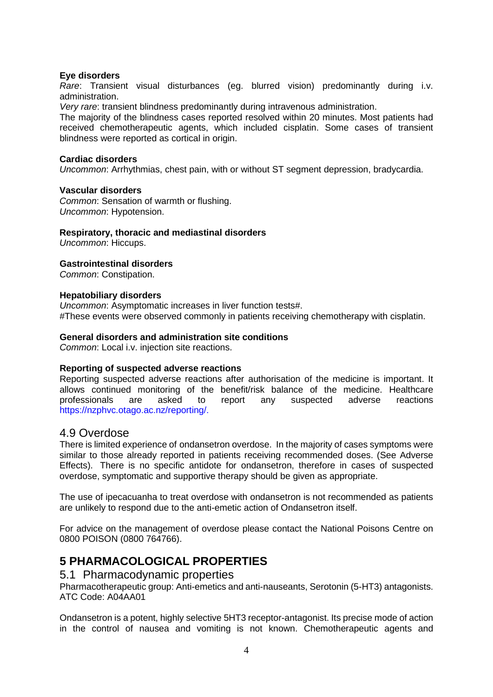### **Eye disorders**

*Rare*: Transient visual disturbances (eg. blurred vision) predominantly during i.v. administration.

*Very rare*: transient blindness predominantly during intravenous administration.

The majority of the blindness cases reported resolved within 20 minutes. Most patients had received chemotherapeutic agents, which included cisplatin. Some cases of transient blindness were reported as cortical in origin.

#### **Cardiac disorders**

*Uncommon*: Arrhythmias, chest pain, with or without ST segment depression, bradycardia.

#### **Vascular disorders**

*Common*: Sensation of warmth or flushing. *Uncommon*: Hypotension.

### **Respiratory, thoracic and mediastinal disorders**

*Uncommon*: Hiccups.

### **Gastrointestinal disorders**

*Common*: Constipation.

### **Hepatobiliary disorders**

*Uncommon*: Asymptomatic increases in liver function tests#. #These events were observed commonly in patients receiving chemotherapy with cisplatin.

### **General disorders and administration site conditions**

*Common*: Local i.v. injection site reactions.

#### **Reporting of suspected adverse reactions**

Reporting suspected adverse reactions after authorisation of the medicine is important. It allows continued monitoring of the benefit/risk balance of the medicine. Healthcare professionals are asked to report any suspected adverse reactions https://nzphvc.otago.ac.nz/reporting/.

### 4.9 Overdose

There is limited experience of ondansetron overdose. In the majority of cases symptoms were similar to those already reported in patients receiving recommended doses. (See Adverse Effects). There is no specific antidote for ondansetron, therefore in cases of suspected overdose, symptomatic and supportive therapy should be given as appropriate.

The use of ipecacuanha to treat overdose with ondansetron is not recommended as patients are unlikely to respond due to the anti-emetic action of Ondansetron itself.

For advice on the management of overdose please contact the National Poisons Centre on 0800 POISON (0800 764766).

### **5 PHARMACOLOGICAL PROPERTIES**

### 5.1 Pharmacodynamic properties

Pharmacotherapeutic group: Anti-emetics and anti-nauseants, Serotonin (5-HT3) antagonists. ATC Code: A04AA01

Ondansetron is a potent, highly selective 5HT3 receptor-antagonist. Its precise mode of action in the control of nausea and vomiting is not known. Chemotherapeutic agents and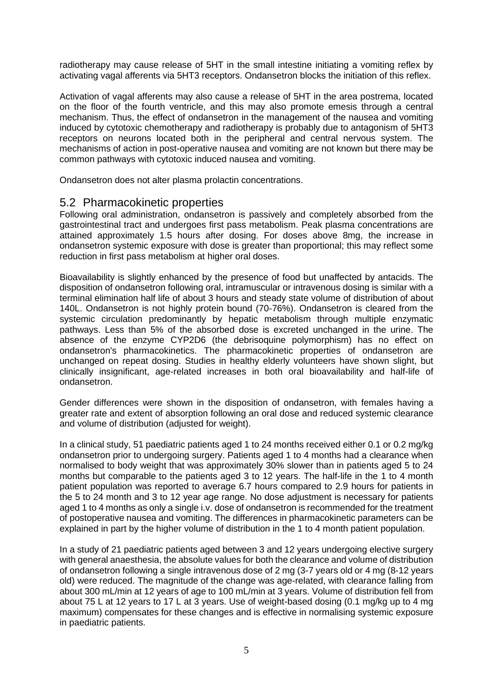radiotherapy may cause release of 5HT in the small intestine initiating a vomiting reflex by activating vagal afferents via 5HT3 receptors. Ondansetron blocks the initiation of this reflex.

Activation of vagal afferents may also cause a release of 5HT in the area postrema, located on the floor of the fourth ventricle, and this may also promote emesis through a central mechanism. Thus, the effect of ondansetron in the management of the nausea and vomiting induced by cytotoxic chemotherapy and radiotherapy is probably due to antagonism of 5HT3 receptors on neurons located both in the peripheral and central nervous system. The mechanisms of action in post-operative nausea and vomiting are not known but there may be common pathways with cytotoxic induced nausea and vomiting.

Ondansetron does not alter plasma prolactin concentrations.

### 5.2 Pharmacokinetic properties

Following oral administration, ondansetron is passively and completely absorbed from the gastrointestinal tract and undergoes first pass metabolism. Peak plasma concentrations are attained approximately 1.5 hours after dosing. For doses above 8mg, the increase in ondansetron systemic exposure with dose is greater than proportional; this may reflect some reduction in first pass metabolism at higher oral doses.

Bioavailability is slightly enhanced by the presence of food but unaffected by antacids. The disposition of ondansetron following oral, intramuscular or intravenous dosing is similar with a terminal elimination half life of about 3 hours and steady state volume of distribution of about 140L. Ondansetron is not highly protein bound (70-76%). Ondansetron is cleared from the systemic circulation predominantly by hepatic metabolism through multiple enzymatic pathways. Less than 5% of the absorbed dose is excreted unchanged in the urine. The absence of the enzyme CYP2D6 (the debrisoquine polymorphism) has no effect on ondansetron's pharmacokinetics. The pharmacokinetic properties of ondansetron are unchanged on repeat dosing. Studies in healthy elderly volunteers have shown slight, but clinically insignificant, age-related increases in both oral bioavailability and half-life of ondansetron.

Gender differences were shown in the disposition of ondansetron, with females having a greater rate and extent of absorption following an oral dose and reduced systemic clearance and volume of distribution (adjusted for weight).

In a clinical study, 51 paediatric patients aged 1 to 24 months received either 0.1 or 0.2 mg/kg ondansetron prior to undergoing surgery. Patients aged 1 to 4 months had a clearance when normalised to body weight that was approximately 30% slower than in patients aged 5 to 24 months but comparable to the patients aged 3 to 12 years. The half-life in the 1 to 4 month patient population was reported to average 6.7 hours compared to 2.9 hours for patients in the 5 to 24 month and 3 to 12 year age range. No dose adjustment is necessary for patients aged 1 to 4 months as only a single i.v. dose of ondansetron is recommended for the treatment of postoperative nausea and vomiting. The differences in pharmacokinetic parameters can be explained in part by the higher volume of distribution in the 1 to 4 month patient population.

In a study of 21 paediatric patients aged between 3 and 12 years undergoing elective surgery with general anaesthesia, the absolute values for both the clearance and volume of distribution of ondansetron following a single intravenous dose of 2 mg (3-7 years old or 4 mg (8-12 years old) were reduced. The magnitude of the change was age-related, with clearance falling from about 300 mL/min at 12 years of age to 100 mL/min at 3 years. Volume of distribution fell from about 75 L at 12 years to 17 L at 3 years. Use of weight-based dosing (0.1 mg/kg up to 4 mg maximum) compensates for these changes and is effective in normalising systemic exposure in paediatric patients.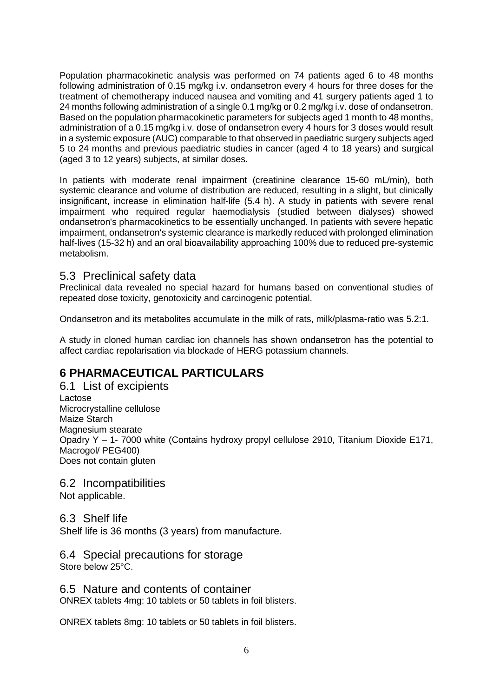Population pharmacokinetic analysis was performed on 74 patients aged 6 to 48 months following administration of 0.15 mg/kg i.v. ondansetron every 4 hours for three doses for the treatment of chemotherapy induced nausea and vomiting and 41 surgery patients aged 1 to 24 months following administration of a single 0.1 mg/kg or 0.2 mg/kg i.v. dose of ondansetron. Based on the population pharmacokinetic parameters for subjects aged 1 month to 48 months, administration of a 0.15 mg/kg i.v. dose of ondansetron every 4 hours for 3 doses would result in a systemic exposure (AUC) comparable to that observed in paediatric surgery subjects aged 5 to 24 months and previous paediatric studies in cancer (aged 4 to 18 years) and surgical (aged 3 to 12 years) subjects, at similar doses.

In patients with moderate renal impairment (creatinine clearance 15-60 mL/min), both systemic clearance and volume of distribution are reduced, resulting in a slight, but clinically insignificant, increase in elimination half-life (5.4 h). A study in patients with severe renal impairment who required regular haemodialysis (studied between dialyses) showed ondansetron's pharmacokinetics to be essentially unchanged. In patients with severe hepatic impairment, ondansetron's systemic clearance is markedly reduced with prolonged elimination half-lives (15-32 h) and an oral bioavailability approaching 100% due to reduced pre-systemic metabolism.

### 5.3 Preclinical safety data

Preclinical data revealed no special hazard for humans based on conventional studies of repeated dose toxicity, genotoxicity and carcinogenic potential.

Ondansetron and its metabolites accumulate in the milk of rats, milk/plasma-ratio was 5.2:1.

A study in cloned human cardiac ion channels has shown ondansetron has the potential to affect cardiac repolarisation via blockade of HERG potassium channels.

## **6 PHARMACEUTICAL PARTICULARS**

6.1 List of excipients Lactose Microcrystalline cellulose Maize Starch Magnesium stearate Opadry Y – 1- 7000 white (Contains hydroxy propyl cellulose 2910, Titanium Dioxide E171, Macrogol/ PEG400) Does not contain gluten

6.2 Incompatibilities

Not applicable.

6.3 Shelf life

Shelf life is 36 months (3 years) from manufacture.

6.4 Special precautions for storage Store below 25°C.

6.5 Nature and contents of container ONREX tablets 4mg: 10 tablets or 50 tablets in foil blisters.

ONREX tablets 8mg: 10 tablets or 50 tablets in foil blisters.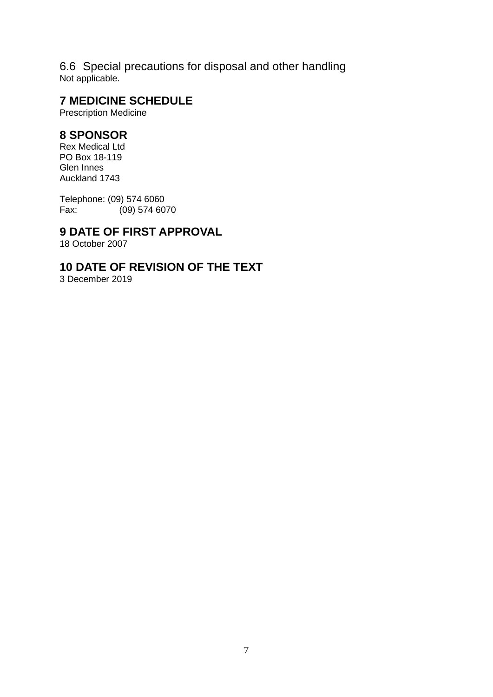6.6 Special precautions for disposal and other handling Not applicable.

## **7 MEDICINE SCHEDULE**

Prescription Medicine

## **8 SPONSOR**

Rex Medical Ltd PO Box 18-119 Glen Innes Auckland 1743

Telephone: (09) 574 6060 Fax: (09) 574 6070

## **9 DATE OF FIRST APPROVAL**

18 October 2007

## **10 DATE OF REVISION OF THE TEXT**

3 December 2019